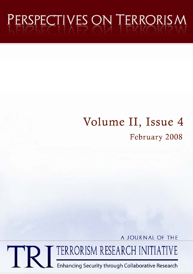# PERSPECTIVES ON TERRORISM

## Volume II, Issue 4 February 2008

A JOURNAL OF THE

TERRORISM RESEARCH INITIATIVE

Enhancing Security through Collaborative Research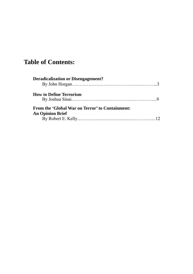### **Table of Contents:**

| <b>How to Define Terrorism</b> |  |
|--------------------------------|--|
|                                |  |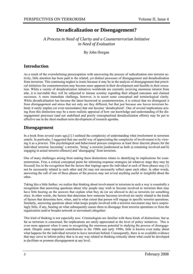#### **Deradicalization or Disengagement?**

*A Process in Need of Clarity and a Counterterrorism Initiative in Need of Evaluation* 

By John Horgan

#### **Introduction**

As a result of the overwhelming preoccupation with uncovering the process of radicalization into terrorist activity, little attention has been paid to the related, yet distinct processes of disengagement and deradicalization from terrorism. This continuing neglect is ironic because it may be in the analysis of disengagement that *practical initiatives* for counterterrorism may become more apparent in their development and feasible in their execution. While a variety of deradicalization initiatives worldwide are currently receiving enormous interest from afar, it is inevitable they will be subjected to intense scrutiny regarding their alleged outcomes and claimed successes. A more immediate challenge, however, is to assert some conceptual and terminological clarity. While *deradicalization* has become the latest buzzword in counterterrorism, it is critical that we distinguish it from *disengagement* and stress that not only are they different, but that just because one leaves terrorism behind; it rarely implies (or even necessitates) that one become 'deradicalized'. One of several implications arising from this distinction may be a more realistic appraisal of how our knowledge and understanding of the disengagement processes (and not undefined and poorly conceptualised deradicalization efforts) may be put to effective use in the short-medium term development of research agendas.

#### **Disengagement**

In a book from several years ago,[1] I outlined the complexity of understanding what *involvement* in terrorism entails. In particular, I suggested that one useful way of appreciating the complexity of involvement is by viewing it as a *process*. This psychological and behavioural process comprises at least three discrete phases for the individual terrorist: becoming' a terrorist, 'being' a terrorist [understood as both a) remaining involved and b) engaging in actual terrorist offences] and 'disengaging' from terrorism.

One of many challenges arising from making these distinctions relates to identifying its implications for counterterrorism. First, a critical conceptual point for informing response strategies (at whatever stage they may be focused) lies in the recognition that the factors that impinge upon the individual at each of these phases may (1) not be necessarily related to each other and (b) may not necessarily reflect upon each other. In other words, answering the call of one of these phases of the process may not reveal anything useful or insightful about the other.

Taking this a little further, we realize that thinking about involvement in terrorism in such a way is essentially a recognition that answering questions about why people may wish to become involved in terrorism then may have little bearing on the answers that explain what they do (or are allowed to do) as terrorists (or something else). In other words, the factors that determine how someone becomes involved are rarely related to the kinds of factors that determine how, when, and to what extent that person will engage in specific terrorist operations. Similarly, answering questions about what keeps people involved with a terrorist movement may have surprisingly little, if any, bearing on what subsequently causes them to disengage from terrorist operations or from the organization (and/or broader network or movement) altogether.

This kind of thinking is not especially new. Criminologists are familiar with these kinds of distinctions, but as far as terrorism is concerned, the implications are rarely appreciated at the level of policy initiatives. This is even more apparent when it came to recognizing the enormous potential in studying the process of disengagement. Despite some important contributions in the 1980s and early 1990s, little is known even today about what happens for the individual terrorist to leave terrorism behind. Consequently, there is no available evidence that may serve to inform policy that is in any way related to thinking critically about what could be developed to *facilitate* or *promote disengagement* at any level.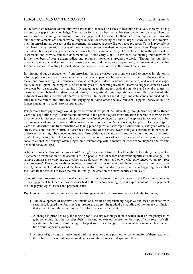In the terrorism research community, we have mainly focused on issues of becoming involved, thereby leaving a significant gap in our knowledge. One reason for this has been an ambivalent perception by researchers towards issues concerning and arising from, disengagement. For example, there is the assumption that terrorists and their movements are somehow no longer relevant or deserving of serious, urgent study once their involvement in terrorism has ceased (or the movement has entered a cease-fire or peace process). Yet it is precisely at this phase that systematic analyses of these issues represent a realistic objective for researchers. Despite perennial difficulties in gathering reliable data, former terrorists are most likely at this phase to be willing to speak to researchers and provide valuable documentation. Since early 2006, I have been conducting interviews with former members of over a dozen radical and extremist movements around the world. Though the interviews often arose in a practical sense from extensive planning and meticulous preparations, the important point is that former terrorists *are* willing to speak about their experiences if one asks the correct questions.

In thinking about disengagement from terrorism, there are various questions we need to answer in relation to why people leave terrorist movements, what happens to people who leave terrorism, what influences them to leave, and how leaving can influence response strategies. Indeed, a broader issue here, and one that is especially relevant given the complexity of what analyses of 'becoming involved' seems to suggest, concerns what we mean by 'disengaging' or 'leaving'. Disengaging might suggest critical cognitive and social changes, in terms of leaving behind the shared social norms, values, attitudes and aspirations so carefully forged while the individual was still a member of a terrorist network. On the other hand it might indicate some continued adherence to these values and attitudes, and engaging in some other socially relevant 'support' behavior but no longer engaging in actual terrorist operations.

Perspectives from psychology would appear relevant at this point. An interesting, though brief, report by Renee Garfinkel [2] outlines significant factors involved in the psychological transformation inherent in moving from involvement in violence to non-violent activity. Garfinkel conducted a series of telephone interviews with former members of militant groups, all of whom were described as "now working for peaceful change" (p.3). Garfinkel describes this transformation as taking place against a backdrop of vulnerability, catalysed often by stress, crisis and trauma. Garfinkel describes how some of the interviewees (religious extremists in particular) underwent what might be conceptualised as a form of de-radicalization – "a reorientation in outlook and direction". A key factor, Garfinkel notes, in the transformation from violence to peace was the role played by personal relationships: "change often hinges on a relationship with a mentor or friend who supports and affirms peaceful behavior" (p.1).

A broader consideration of the process of 'exiting' roles comes from Helen Ebaugh. [3] Her study incorporated a systematic examination of the accounts of 185 people, each of whom underwent significant role change. Her sample comprises ex-convicts, ex-alcoholics, ex-doctors, ex-nuns, and others who experienced voluntary "role exit processes". Key commonalities included a sense of disillusionment with the individual's current persona or identity, an attempt to identify and locate an alternative, more satisfactory role, particular triggering factors that facilitate final decisions to leave the role, to finally, the creation of a new identity as an "ex-".

Some of these processes can be found in accounts of involvement in terrorist activity. [4] Two immediate sets of disengagement factors that may be described both as factors leading to, *and* expressions of, disengagement include psychological issues and physical issues.

*Psychological*, or emotional issues leading to disengagement from terrorism may include the following:

- 1. The development of negative sentiments as a result of experiencing negative qualities associated with sustained, focused membership (e.g. pressure, anxiety, the gradual dismantling of the fantasy or illusion that served to lure the recruit in the first place etc.) and as a result;
- 2. A change in priorities (e.g. the longing for a social/psychological state which (real or imaginary) to re gain something that the member feels is lacking, or existed before membership, often a result of self questioning, but mostly following prolonged social/psychological investment as a member from which little return appears evident);
- 3. A sense of growing disillusionment with the avenues being pursued, or some quality of them (e.g. with the political aims or with operational tactics and the attitudes underpinning them).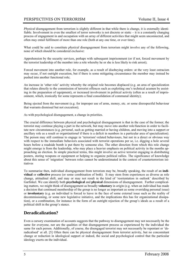*Physical* disengagement from terrorism is slightly different in that while there is change, it is externally identifiable. Involvement in even the smallest of terror networks is not discrete or static – it is a constantly changing process of engagement in and occupation with an array of different activities that might seem unconnected, and often may entail fulfilment of more than one role (both at any one time, or over time).

What could be said to constitute *physical* disengagement from terrorism might involve any of the following, none of which should be considered exclusive:

Apprehension by the security services, perhaps with subsequent imprisonment (or if not, forced movement by the terrorist leadership of the member into a role whereby he or she is less likely to risk arrest);

Forced movement into another role, for example, as a result of disobeying orders: at the very least ostracism may occur, if not outright execution, but if there is some mitigating circumstance the member may instead be pushed into another functional role;

An increase in 'other role' activity whereby the original role becomes displaced (e.g. an area of specialization that relates directly to the commission of terrorist offences such as exploiting one's technical acumen by assisting in the preparation of equipment), or increased involvement in political activity (often as a result of imprisonment, which, ironically for some represents a final consolidation of communal identity);

Being ejected from the movement (e.g. for improper use of arms, money, etc. or some disrespectful behaviour that warrants dismissal but not execution);

As with psychological disengagement, a change in priorities.

The crucial difference between physical and psychological disengagement is that in the case of the former; the terrorist may continue playing a part in the network, but may move into another role/function in order to facilitate new circumstances (e.g. *personal*, such as getting married or having children, and moving into a support or ancillary role as a result or *organizational* if there is a deficit in numbers in a particular area of specialization). The person may still continue to engage in 'terrorism'-related behaviours, but not in a direct or obvious way with respect to the immediate behaviors associated with terrorist operations per se, i.e. digging a hole several hours before a roadside bomb is put there by someone else. The other direction from which this role change might emerge is from the leadership, who may place a heavier emphasis on political activity in the months approaching an election. In simple practical terms, this might involve an active terrorist engaging in distributing posters, storing weapons or equipment or helping to organize political rallies. The significance of knowledge about this sense of 'migration' between roles cannot be underestimated in the context of counterterrorism initiatives

To summarise then, individual disengagement from terrorism may be, broadly speaking, the result of an **individual** or **collective** process (or some combination of both). It may stem from experiences as diverse as role change, attitudinal shift, and may or may not result in the kind of 'reorientation in outlook' described by Garfinkel. We can identify both **psychological** and **physical** dimensions of disengagement. Further complicating matters, we might think of disengagement as broadly **voluntary** in origin (e.g. when an individual has made a decision that continued membership of the group is no longer as important as some overriding personal issue) or **involuntary** (e.g. an individual is forced to leave in the face of some external issue such as the reality of decommissioning, or some new legislative initiative, and the implications this has for organizational dissipation), or a combination, for instance in the form of an outright rejection of the group's ideals as a result of a political shift in the group's stance.

#### **Deradicalization?**

Even a cursory examination of accounts suggests that the pathway to disengagement may not necessarily be the same for everyone, nor are the qualities of that disengagement process as experienced by the individual the same for each person. Additionally, of course, the disengaged terrorist may not necessarily be repentant or 'deradicalised' at all. [5] Often there can be physical disengagement from terrorist activity, but no concomitant change or reduction in ideological support or indeed, the social and psychological control that the particular ideology exerts on the individual.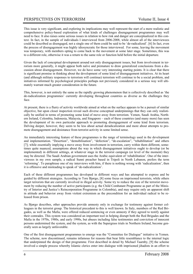This issue is very significant, and exploring its implications may well represent the start of a more realistic and comprehensive policy-based exploration of what kinds of challenges disengagement programmes may well need to face. It also raises some serious issues in relation to how risk and danger are conceptualized in this context. In fact, in the sample of individuals I interviewed from 2006-2008, while almost all of the interviewees could be described as disengaged, not a single one of them could be said to be 'de-radicalized'. [6] In fact, even the process of disengagement was highly idiosyncratic for those interviewed. For some, leaving the movement was temporary, with members opting to come back to the movement at some later stage. Sometimes, this was to a different role, otherwise it was a return to the same role or function held before the initial departure.

Given the lack of conceptual development around not only disengagement issues, but from involvement in terrorism more generally, it might appear both naïve and premature to draw generalized conclusions from a discussion about disengagement. However, we do have some very interesting starting points. It is clear that there is significant promise in thinking about the development of some kind of disengagement initiatives. At its heart (and although military responses to terrorism will continue) terrorism will continue to be a social problem, and initiatives informed by psychological principles perhaps not previously considered in a serious way will ultimately warrant much greater consideration in the future.

This, however, is not entirely the same as the rapidly growing phenomenon that is collectively described as 'the de-radicalization programmes' currently developing throughout countries as diverse as the challenges they face.

At present, there is a flurry of activity worldwide aimed at what on the surface appears to be a pursuit of similar objective, but upon closer inspection reveal such diverse conceptual underpinnings that they can only realistically be unified in terms of promoting some kind of move away from terrorism. Yemen, Saudi Arabia, Northern Ireland, Colombia, Indonesia, Malaysia, and Singapore – each of these countries (and many more) has seen the development of its own particular approach to promoting disengagement of some kind from terrorism. Delving deeper, however, they seem to be less about actual deradicalization and more about attempts to promote disengagement and desistance from terrorist activity in some limited sense.

An immediately interesting feature of these programmes is the range of terminology used in the development and implementation. "Desertion", "demobilisation", "defection", "de-escalation", "rehabilitation" and others [7]; while essentially implying a move away from involvement in terrorism, carry within them different, sometimes quite nuanced, assumptions about the way in which disengagement initiatives ought to develop (or be implemented) in different settings, at whatever stage in the terrorist campaign (or level of the moment) they may be directed. The Saudi Arabian government uses the Arabic equivalent of 'rehabilitation'. One of the interviewees in my own sample, a radical Sunni preacher based in Tripoli in North Lebanon, prefers the term 'reforming'. To paraphrase one of my interviews with him, if there is nothing wrong with 'radicalization', then it is offensive and misleading to speak of 'de-radicalization'.

Each of these different programmes has developed in different ways and has attempted to express and be guided by different strategies. According to Tore Bjørgo, [8] some focus on imprisoned terrorists, while others target terrorists that are currently involved in illegal activity. Some try to reduce the size of the terrorist movement by reducing the number of active participants (e.g. the Child Combatant Programme as part of the Ministry of Interior and Justice's Reincorporation Programme in Colombia), and may require only an apparent shift in attitude and behavior away from violent extremism as the precondition for an individual radical to be released from prison.

As Bjørgo describes, other approaches provide amnesty only in exchange for testimony against former colleagues in the terrorist group. The historical precedent to this is well known. In Italy, members of the Red Brigades, as well as the Mafia, were offered reduced sentencing or even amnesty if they agreed to testify against their comrades. This system was considered an important tool in helping disrupt both the Red Brigades and the Mafia in the 1970s, 1980s, and early 1990s, but abuses including false testimonies and conviction of innocent persons undermined the system, and the system, as with the Supergrass trials in Northern Ireland, become generally seen as largely unfavorable.

One of the first disengagement programmes to emerge was the "Committee for Dialogue" initiative in Yemen. The scheme, now discontinued, remains infamous for reasons that bear little resemblance to the internal logic that underpinned the design of that programme. First described in detail by Michael Taarnby, [9] the scheme involved a simple process whereby Islamic clerics enter into dialogue with imprisoned jihadists in an effort to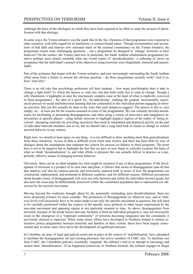challenge the basis of the ideologies to which they have been exposed in an effort to undo the process of identification with that ideology.

In some ways, the Yemen initiative was the spark that lit the fire. Elements of that programme were exported to other countries, with little regard for its limitations or context-bound nature. Though recriminations and accusations of bad faith and mistrust now surround much of the external commentary on the Yemen initiative, the programme raised some challenging questions – can a programme be designed to 'change' terrorists or their behavior? On the surface, the Yemen (and now in particular, the Saudi Arabian rehabilitation programme) initiative perhaps most closely resemble what one would expect of 'deradicalization': a softening of views, an acceptance that the individual's pursuit of his objectives using terrorism were illegitimate, immoral and unjustifiable.

Part of the acrimony that began with the Yemen initiative, and now increasingly surrounding the Saudi Arabian effort arose from a failure to answer the obvious question – do these programmes actually work? And if so, how? And why?

There is an old joke that psychology professors tell their students – *how many psychologists does it take to change a light bulb?* To which the answer is: *only one, but that bulb really has to want to change.* Though a silly illustration, it highlights at once the enormously complex issue at the heart of what is implicitly conveyed in these programmes – the idea of a quick fix, 'de-radicalizing', undoing the gradual, incrementally experienced process of social and behavioral learning that has culminated in this individual person engaging in terrorist activities. But can this actually be done in the ways that such initiatives suggest? The answer to this is, very simply, *no* – at least not for the reasons assumed in some of the programmes. We can certainly develop mechanisms for facilitating or promoting disengagement, and often using a variety of innovative and imaginative interventions at specific phases – using former terrorists to highlight negative aspects of the reality of 'being involved', disrupting networks by providing incentives that result in substituted and displaced activity on the part of individual network members and so on, but we should take a long hard look at claims to change or control terrorist behavior in any context.

Right now, we should at least agree on one thing - it is too difficult to draw anything more than generalizations from these initiatives. Access to data is difficult (even when data exists), and there has been little by way of dialogue about the assumptions that underpin the criteria for success (or failure) in these programs. The point here is not to be negative but to highlight the fact that we have to now begin to critically examine the basis of what we think 'deradicalization' is, and what efforts to promote this can actually deliver in practice as a purportedly effective means of changing terrorist behavior.

Obviously, there can be no ideal template for what might be assumed of any of these programmes. If the development of terrorism is a product of its own time and place, it follows that issues of disengagement (and all that that implies) will also be context-specific and necessarily nuanced both in terms of how the programmes are constructed, implemented, and promoted in different countries, and for different reasons. Different perceptions about broader issues of disengagement will exist not only between and within the individual terrorist group, but also how the issue may be differentially perceived within the constituent population that is represented (or otherwise) by the terrorist movement.

Moving beyond the confusion brought about by the potentially misleading term *deradicalization*, there are more promising avenues we must consider. The promotion of disengagement (in whatever way, and at whatever level) will necessarily have to be tailor-made to not only the specific movement in question, but will need to be carefully positioned within the context of the specific socio political or other issues experienced by the non-state movement and opposing regime at any particular moment in time. As above, disengagement from terrorism, because of the broad factors that may facilitate it from an individual perspective, may not necessarily result in the emergence of a "repentant community" of terrorists becoming integrated into the community it previously claimed to represent. While some minor efforts have developed in Northern Ireland to initiate restorative justice programmes between terrorists and families of their victims, these have been largely unsuccessful and, in some cases, have led to the development of significant tensions.

In Colombia, an array of legal and judicial issues put in place in the context of 'demobilization' have attempted to facilitate the disengagement not just existing prisoners, but active members of FARC also. To facilitate exit from FARC, the Colombian judiciary essentially 'suspends' the militant's trial in an attempt to encourage and sustain their 'demobilization'. If (as happened extensively in Northern Ireland), the militant engages in illegal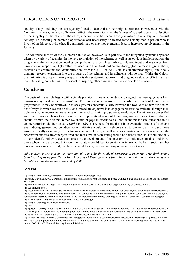activity of any kind, they are subsequently forced to face trial for their original offences. However, as with the Northern Irish case, there is no 'blanket' effect – the extent to which the 'amnesty' is used is usually a function of the illegality of the offence. Therefore, a person who has been directly involved in unambiguous terrorist activity (i.e. shooting or bombing operations) will necessarily be treated more harshly than a person who is involved in fringe activity (that, if continued, may or may not eventually lead to increased involvement in the former).

The continued success of the Colombian initiative, however, is in part due to the integrated systemic approach taken by a variety of agencies. In the very formulation of the scheme, as well as its obvious implementation, the programme for reintegration invokes comprehensive expert legal advice, relevant input and resources from psychosocial support input (to reflect re-insertion difficulties), police monitoring (for the reasons given above, as well as to ensure that the 'demobilization' from the AUC, or FARC etc. is actually meaningful), and finally ongoing research evaluation into the progress of the scheme and its adherents will be vital. While the Colombian initiative is unique in many respects, it is this systematic approach and ongoing evaluative effort that may mark its lasting contribution with respect to inspiring other similar initiatives to develop elsewhere.

#### **Conclusion**

The basis of this article began with a simple premise – there is no evidence to suggest that *disengagement* from terrorism may result in *deradicalization*. For this and other reasons, particularly the growth of these diverse programmes, it may be worthwhile to seek greater conceptual clarity between the two. While there are a number of ways in which we can do this, one immediate objective is to engage in research to evaluate, through multiple means, the increasing prevalence of the deradicalization programmes worldwide. The otherwise unverified and often spurious claims to success by the proponents of some of these programmes does not mean that we should dismiss their claims, rather we should engage in efforts to ask one of the most basic questions in all counterterrorism: do they actually *work* (and *why*?). The need for multi-attribute evaluation studies of each and every disengagement and deradicalization initiative would be a welcome start to greater clarity around these issues. Critically examining claims for success in each case, as well as an examination of the ways in which the *criteria* for success are conceptualized and measured in each setting would be a useful step. It is useful not only to help identify policy-relevant lessons for the development of counterterrorism initiatives of this kind in regions where there are none, but more immediately would lead to greater clarity around the basic social and behavioral processes involved, that have, it would seem, escaped scrutiny in many cases to date.

*John Horgan is Director of the International Center for the Study of Terrorism at Penn State. His forthcoming book Walking Away from Terrorism: Accounts of Disengagement from Radical and Extremist Movements will be published by Routledge at the end of 2008.* 

#### **NOTES:**

[1] Horgan, John, The Psychology of Terrorism. London: Routledge, 2005.

[2] Renee Garfinkel (2007), 'Personal Transformations: Moving From Violence To Peace', United States Institute of Peace Special Report 186, April.

[4] See Horgan, note 1.

[5] Most of the explicitly disengaged terrorists interviewed by Horgan (across ethno-nationalist, Jihadist, and other religious terrorist movements in Europe, the Middle East and South-East Asia) cannot be said to be 'de-radicalized' per se, even in some cases despite a clear, and acrimonious departure from their movement – see John Horgan (forthcoming) Walking Away From Terrorism: Accounts of Disengagement from Radical and Extremist Movements, London: Routledge.

[6] Horgan, Walking Away from Terrorism.

 $[7]$  Ibid.

[8] Bjorgo, T. (2005). 'Reducing Recruitment and Promoting Disengagement from Extremist Groups: The Case of Racist Sub-Cultures', in C. Benard (Ed.) A Future For The Young: Options for Helping Middle Eastern Youth Escape the Trap of Radicalization. A RAND Working Paper WR-354. Washington, D.C.: RAND National Security Research Division.

[9] Michael Taarnby, Yemen's Committee for Dialogue: the relativity of a counter terrorism success, in C. Benard (Ed.) (2005). A Future For The Young: Options for Helping Middle Eastern Youth Escape the Trap of Radicalization. A RAND Working Paper WR-354. Washington, D.C.: RAND National Security Research Division.

<sup>[3]</sup> Helen Rose Fuchs Ebaugh (1988) Becoming an Ex: The Process of Role Exit (Chicago: University of Chicago Press).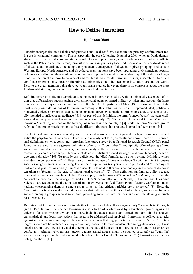#### **How to Define Terrorism**

#### *By Joshua Sinai*

Terrorist insurgencies, in all their configurations and local conflicts, constitute the primary warfare threat facing the international community. This is especially the case following September 2001, when al Qaida demonstrated that it had world class ambitions to inflict catastrophic damages on its adversaries. In other conflicts, such as the Palestinian-Israeli arena, terrorist rebellions are primarily localized. Because of the worldwide reach of al Qaida and its affiliates, including the spontaneous emergence of al Qaida-inspired groupings and cells in Western Europe, North America, and elsewhere, many nations have been upgrading their homeland security defenses and calling on their academic communities to provide analytical understanding of the nature and magnitude of the threat and how to counteract and resolve it. As a result, terrorism courses, research institutes and certificate programs have been proliferating at universities and other academic institutions around the world. Despite the great attention being devoted to terrorism studies; however, there is no consensus about the most fundamental starting point in terrorism studies: how to define terrorism.

Defining terrorism is the most ambiguous component in terrorism studies, with no universally accepted definition that differentiates attacks against civilian noncombatants or armed military or takes into account the latest trends in terrorist objectives and warfare. In 1983, the U.S. Department of State (DOS) formulated one of the most widely used definitions of terrorism. According to this definition, terrorism is "premeditated, politically motivated violence perpetrated against noncombatant targets by subnational groups or clandestine agents, usually intended to influence an audience." [1] As part of this definition, the term "noncombatant" includes civilians and military personnel who are unarmed or not on duty. [2] The term 'international terrorism' refers to terrorism "involving citizens or the territory of more than one country," [3] while the term 'terrorist group' refers to "any group practicing, or that has significant subgroups that practice, international terrorism." [4]

The DOS's definition is operationally useful for legal reasons because it provides a legal basis to arrest and indict the perpetrators of such acts. However, at the analytical level, as mentioned above, there are no consensual definitions on what constitutes terrorism. Literature survey by a National Research Council (NRC) panel found there are no "precise general definitions of terrorism", but rather "a multiplicity of overlapping efforts, some more satisfactory than others, but none analytically sufficient." [5] Experts consider the term an "'essentially contested concept,' debatable at its core, indistinct around its edges, and simultaneously descriptive and pejorative." [6] To remedy this deficiency, the NRC formulated its own working definition, which includes the components of "(a) illegal use or threatened use of force or violence (b) with an intent to coerce societies or governments by inducing fear in their populations (c) typically with political and /or ideological motives and justifications and (d) an 'extra-societal' element, either 'outside' society in the case of domestic terrorism or 'foreign' in the case of international terrorism". [7] This definition has limited utility because other critical variables must be included. For example, in its February 2005 report on *Combating Terrorism* the National Science and Technology Council (NSTC) Subcommittee on the Social, Behavioral and Economic Sciences' argues that using the term 'terrorism' "may over-simplify different types of actors, warfare and motivations, encapsulating them in a single group or act so that critical variables are overlooked." [8] Here, the 'overlooked critical variables' include activities that fall below the threshold of violence, such as mobilizing support among a group's radical subculture, providing social welfare services, and even maintaining internetbased web sites.

Definitions of terrorism also vary as to whether terrorism includes attacks against only "noncombatant" targets (see DOS definition); or whether terrorism is also a tactic of warfare used by sub-national groups against all citizens of a state, whether civilian or military, including attacks against an "armed" military. This has analytical, statistical, and legal implications that need to be addressed and resolved. If terrorism is defined as attacks against only noncombatant targets, then attacks by groups that engage in terrorism against "armed" military targets should not be included, as they are in many cases, in terrorist incident chronology databases. [9] These attacks are military operations, and the perpetrators should be tried in military courts as guerrillas or armed combatants. Alternatively, terrorist attacks against armed targets might be counted separately as "guerrilla" incidents, as they are in the International Policy Institute for Counter-Terrorism's (ICT) terrorist incident chronology database. [11]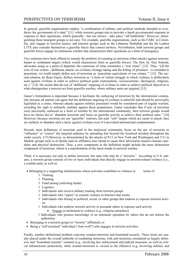In general, guerrilla organizations employ "a combination of military and political methods intended to overthrow the government of a state" [11] while terrorist groups aim to provoke a harsh governmental response in response to their operations, which generally—but not always—take place "off battlefield." However, distinguishing these insurgent groups is not easy. For example, guerrilla organizations, such as the FARC in Colombia, also engage in terrorist tactics; and terrorist groups such as the Lebanese Hizballah and the Sri Lanken LTTE also consider themselves a guerrilla forces that control territory. Nevertheless, both terrorist groups and guerrilla forces engage in continuous warfare that characterizes their operations as a form of insurgency.

Two solutions have been offered to remedy the problem of counting as terrorism either attacks against noncombatant or combatant targets (which would characterize them as guerrilla forces). The first, by Alex Schmid, advocates using as a point of departure the consensus of what constitutes a "war crime", [12] Thus, "[i]f the core of war crimes—deliberate attacks on civilians, hostage taking and the killing of prisoners—is extended to peacetime, we could simply define acts of terrorism as 'peacetime equivalents of war crimes.'" [13] The second solution, by Boaz Ganor, defines terrorism as "a form of violent struggle in which violence is deliberately used against civilians in order to achieve political goals (nationalistic, socioeconomic, ideological, religious, etc.)." [14] He asserts that the use of 'deliberate' targeting of civilians in order to achieve political objectives is what distinguishes a terrorist act from guerrilla warfare, where military units are targeted. [15]

Ganor's formulation is important because it facilitates the outlawing of terrorism by the international community because all nations can agree that the deliberate targeting of civilians is unlawful and should be universally legislated as a crime, whereas attacks against military personnel would be considered part of regular warfare, including the right to militarily retaliate against those perpetrators. Ganor concludes that if acts of terrorism were universally outlawed as a form of warfare by the international community, then terrorist groups would have no choice but to "abandon terrorism and focus on guerrilla activity to achieve their political aims." [16] However, because terrorists are not "guerrilla" warriors, but seek "soft" targets which are easier to attack; they are unlikely to abandon such a tactic against civilians even if it provoked international condemnation.

Second, most definitions of terrorism used in the analytical community focus on the use of terrorism to "influence" or "coerce" the targeted audience by spreading fear beyond the localized incident throughout the wider society. [17] However, as demonstrated by the attacks of 9/11 in New York and Washington and 3/11 in Madrid, groups such as al Qaeda (and its affiliates) also intend to cause their adversaries massive human casualties and physical destruction. Thus, a new component in the definition might include the mass destruction component of terrorism, which is a manifestation of the latest trends in terrorist warfare.

Third, it is necessary not only to define terrorism, but state who may be a "terrorist." According to U.S. statutes, a terrorist group consists of two or more individuals that directly engage in terrorist-related violence (i.e., a combat unit), as well as:

- Belonging to a supporting infrastructure whose activities contribute to violence in terms of:
	- ◊ Training
	- ◊ Planning
	- $\Diamond$  Fund raising (soliciting funds)
	- ◊ Logistics
	- ◊ Individuals who receive military training from terrorist groups
	- ◊ Individuals who "aspire" to commit violence in Internet chat rooms
	- $\Diamond$  Individuals who belong to political, social, or other groups that endorse or espouse terrorist activity
	- $\Diamond$  Individuals who endorse terrorist activity or persuade others to espouse such activity • Engage in incitement to violence (e.g., religious preachers)
	- $\Diamond$  Individuals who possess knowledge of an imminent operation by others but do not inform the authorities
- Belonging to a terrorist group (or "loosely" affiliated); or
- Being a "self-recruited" individual ("lone wolf") who engages in terrorist activities.

Finally, another definitional problem concerns counter-terrorism and homeland security. These terms are usually placed under the overall umbrella of combating terrorism, with anti-terrorism considered as largely defensive and "homeland security" oriented (e.g., involving law enforcement and judicial measures, as well as critical infrastructure protection), while counter-terrorism is viewed as the offensive (e.g, involving military and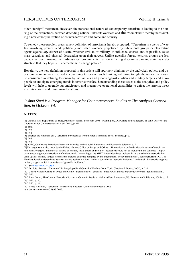other "foreign" measures). However, the transnational nature of contemporary terrorism is leading to the blurring of the distinctions between defending national interests overseas and the "homeland," thereby necessitating a new conceptualization of counter-terrorism and homeland security.

To remedy these problem areas, a new definition of terrorism is hereby proposed: "Terrorism is a tactic of warfare involving premeditated, politically motivated violence perpetrated by subnational groups or clandestine agents against *any* citizen of a state, whether civilian or military, to influence, coerce, and, if possible, cause mass casualties and physical destruction upon their targets. Unlike guerrilla forces, terrorist groups are less capable of overthrowing their adversaries' governments than on inflicting discriminate or indiscriminate destruction that they hope will coerce them to change policy."

Hopefully, the new definition proposed in this article will spur new thinking by the analytical, policy, and operational communities involved in countering terrorism. Such thinking will bring to light the issues that should be considered in defining terrorism by individuals and groups against civilian and military targets and allow people to anticipate emerging trends in terrorist warfare. Understanding these issues at the analytical and policy levels will help to upgrade our anticipatory and preemptive operational capabilities to defeat the terrorist threat in all its current and future manifestations.

*Joshua Sinai is a Program Manager for Counterterrorism Studies at The Analysis Corporation, in McLean, VA.* 

#### **NOTES:**

[1] United States Department of State, Patterns of Global Terrorism 2003 (Washington, DC: Office of the Secretary of State, Office of the Coordinator for Counterterrorism, April 2004), p. xii.

[2] Ibid.

 $\overline{3}\overline{)}$  Ibid.

[4] Ibid.

[5] Smelser and Mitchell, eds., Terrorism: Perspectives from the Behavioral and Social Sciences, p. 2.

 $[6]$  Ibid. [7] Ibid.

[8] NSTC, Combating Terrorism: Research Priorities in the Social, Behavioral and Economic Sciences, p. 7.

[9]This argument is also made by the United Nations Office on Drugs and Crime: "If terrorism is defined strictly in terms of attacks on non-military targets, a number of attacks on military installations and soldiers' residences could not be included in the statistics" [http:// www.unodc.org/unodc/terrorism\_definitions.html]. Interestingly, the MIPT Knowledge Base includes in its statistical data terrorist incidents against military targets, whereas the incident database compiled by the International Policy Institute for Counterterrorism (ICT), in Herzliya, Israel, differentiates between attacks against civilians, which it considers as "terrorist incidents," and attacks by terrorists against military targets, which it considers as "guerrilla incidents."

[10] See http://www.ict.org.il.

[11] Ian F.W. Beckett, "Terrorism" in Encyclopedia of Guerrilla Warfare (New York: Checkmark Books, 2001), p. 231.

[12] United Nations Office on Drugs and Crime, "Definitions of Terrorism," http://www.undocs.org/unodc/terrorism\_definitions.html. [13] Ibid.

[14] Boaz Ganor, The Counter-Terrorism Puzzle: A Guide for Decision Makers (New Brunswick, NJ: Transaction Publishers, 2005), p. 17. [15] Ibid., p. 20.

[16] Ibid., p. 24.

[17] Bruce Hoffman, "Terrorism," Microsoft® Encarta® Online Encyclopedia 2005 http://encarta.msn.com © 1997-2005.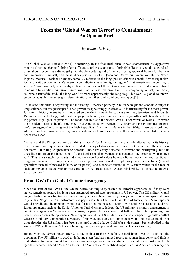#### **From the 'Global War on Terror' to Containment: An Opinion Brief**

#### *By Robert E. Kelly*

The Global War on Terror (GWoT) is maturing. In the first Bush term, it was characterized by aggressive rhetoric ("regime change," "bring 'em on") and soaring declarations of principle (Bush's second inaugural address about freedom as a divine gift). But the day-to-day grind of Iraq, collapsing approval figures for that war and the president himself, and the stubborn persistence of al-Qaeda and Osama bin Laden have shifted Washington's rhetoric. President Kennedy famously referred to the long, patient effort to contain Soviet expansionism and wait out communism's internal contradictions as a "twilight struggle." That Americans are coming to see the GWoT similarly is a healthy shift in its politics. All three Democratic presidential frontrunners refused to commit to withdraw American forces from Iraq in their first term. The US is recognizing, at last, that this is, as Donald Rumsfeld said, "the long war," or more appropriately, the long slog. This war – a global counterinsurgency actually – requires grim determination, tax hikes, and stolid public support.[1]

To be sure, this shift is depressing and infuriating. American primacy in military might and economic output is unquestioned, but this power profile has proven disappointingly ineffective. It is frustrating for the most powerful state in history to see its will thwarted so clearly in Eurasia by sub-state militias, terrorists, and brigands. Democracies dislike long, ill-defined campaigns – bloody, seemingly intractable guerilla conflicts with no turning points, highlights, or parades. The model for Iraq and the wider GWoT is not WWII or Korea – to which the president makes unhelpful reference – but America's involvement in Vietnam and the Philippines, or Britain's "emergency" efforts against the Irish Republican Army or in Malaya in the 1950s. These wars took decades to complete, broached searing moral questions, and rarely show up on the good-versus-evil History Channel or Fox News.

Vietnam and the Philippines are disturbing "models" for America, but there is little alternative in its history. The quagmire in Iraq demonstrates the limited efficacy of American hard power in this conflict. The enemy is not states – like Iraq, Afghanistan or Somalia. These are easily defeated in conventional warfighting, but this does little to soften the harsh edge of the Islamist social movement that generates the terrorists who plotted 9/11. This is a struggle for hearts and minds – a conflict of values between liberal modernity and reactionary religious medievalism. Long patience, frustrating, compromise-ridden diplomacy, asymmetric force (special operations instead of massed infantry or air power), and a constant recitation of Western values in the face of such controversies as the Muhammad cartoons or the threats against Ayaan Hirsi Ali [2] is the path to an awkward "victory."

#### **From GWoT to Global Counterinsurgency**

Since the start of the GWoT, the United States has implicitly treated its terrorist opponents as if they were states. American posture has long been structured around state opponents to US power. The US military would engage traditional warfighting against a country with a coherent military firmly controlling some space of territory with a "target rich" infrastructure and population. In a Clausewitzian clash of forces, the US superpower would prevail, and the opponent would sue for a structured peace. In short, US planning has assumed and preferred opponents such as the Soviet Union or Nazi Germany. Indeed, the US military's primary engagement in counter-insurgency – Vietnam - left the Army in particular so scarred and battered, that future planning purposely focused on state opponents. Never again would the US military wade into a long-term guerilla conflict where US military comparative advantage (firepower, logistics, air dominance) would not matter much. For three decades, the US military has been structured around a large, Cold War-style contest, best embodied in the so-called "Powell doctrine" of overwhelming force, a clear political goal, and a clean exit strategy. [3]

Hence when the GWoT began after 9/11, the instinct of the US defense establishment was to "state-ize" the opponent. The US military is good at defeating states but has a mixed record at counter-insurgency and finds it quite distasteful. What might have been a campaign against a few specific terrorists entities – most notably al-Qaeda – became instead a "war" on terror. The "axis of evil" identified rogue states as America's primary op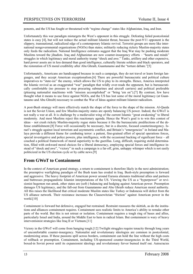ponents, and the US has fought or threatened with "regime change" states like Afghanistan, Iraq, and Iran.

Unfortunately this war paradigm mistargets the West's opponent in this struggle. Defeating failed postcolonial states is easy [4], but will not reduce the actual militant Islamist threat, because the post-9/11 opponent is the slippery, transnational, radicalized edge of a contemporary Islamic revival. Terrorist groups are more like international nongovernmental organizations (NGOs) than states; militarily reducing rickety Muslim-majority states only feeds the radicalism. National Intelligence estimates suggest that the Iraq War may be pushing moderate Muslims toward the jihadists. Iraq and Afghanistan are now counter-insurgency efforts – "hearts and minds" struggles in which legitimacy and moral authority trump "shock and awe." Tanks, artillery and other expensive, hard power assets are in less demand than good intelligence, culturally literate soldiers and black operators, and the restoration of US moral credibility after Abu Ghraib, Guantanamo and the "torture debate."[5]

Unfortunately, Americans are handicapped because in such a campaign, they do not travel or learn foreign languages, and they accept American exceptionalism.[6] There are powerful bureaucratic and political culture imperatives to "state-ize" the enemy, which allows the US to play to its strengths. Hence, America interpreted the Islamic revival as an exaggerated "war" paradigm that wildly over-reads the opponent, but is bureaucratically comfortable (no pressure to stop procuring submarines and aircraft carriers) and political preferable (pleasing nationalist machismo with "mission accomplished" or "bring 'em on").[7] By contrast, few have thought what it means to use force against NGOs, and the US has lost some of the moral legitimacy (at Guantanamo and Abu Ghraib) necessary to combat the War of Ideas against militant Islamist radicalism.

A post-Bush strategy will more effectively match the shape of the force to the shape of the mission. Al-Qaeda is not the Soviet Union, and few Muslim-majority states are openly balancing US power. Indeed, the GWoT is not really a war at all. It is challenge by a medievalist wing of the current Islamic "great awakening" to liberal modernity. And most Muslims reject this reactionary agenda. Hence the West's goal is to win this contest of ideas – not crush rickety Muslim-majority rogue states because it fits the bureaucratic predilections of the defense establishment.[8] Force will occasionally be necessary, but in a discrete, focused counterinsurgency. Israel's struggle against local terrorism and asymmetric conflict, and Britain's "emergencies" in Ireland and Malaya provide a different frame for combating terror: a patient, fine-grained effort of special operations forces, special investigative and police powers, plus intelligence, with the occasional backing of significant force – all couched a political framework of moral superiority to the guerillas. Long, difficult, requiring stolid determination, filled with awkward moral choices for a liberal democracy, employing special forces and intelligence instead of "shock and awe", "victory" in such a campaign is a far-off, grim, unhappy whimper which is not easily politicized in the US election cycle or by cable news.[9]

#### **From GWoT to Containment**

In the context of American grand strategy, a return to containment is therefore likely in the next administration; the preemptive warfighting paradigm of the Bush team has eroded in Iraq. Bush-style preemption is forward and aggressive. The heavy footprint of American power around Eurasia alienates traditional allies and partners and buttresses propagandistic Islamist interpretations of the US. Viewing the US as a "hyperpower" or revisionist hegemon run amok, other states are (soft-) balancing and hedging against American power. Preemption damages US legitimacy, and the fall-out from Guanatanmo and Abu Ghraib reduce American moral authority. All this raises the likelihood that critical moderate Muslim states like Turkey or Indonesia will defect from the US alliance network. Their resistance increases the Clausewitzian "friction" against American power in the world.[10]

Containment is forward but defensive, engaged but restrained. Restraint reassures the skittish, as do the institutions and alliances containment requires. Containment sees realistic limits to America's ability to remake other parts of the world. But this is not retreat or isolation. Containment requires a tough ring of bases and allies, particularly Israel and India, around the Middle East to hem in radical Islam. But containment is wary of heavy interventionist strategies like Iraq II or Vietnam.[11]

Victory in the GWoT will come from hanging tough.[12] Twilight struggles require tenacity through long years of uncomfortable counter-insurgency. Nationalist and revolutionary ideologies are common in postcolonial, modernizing areas. If these passions spill across borders, containment can hold the line without the high costs of rollback or preemption. Containment, including US-sponsored counter-insurgencies in the Third World, boxed-in Soviet power until its expansionist ideology and revolutionary fervor burned itself out. Autocracies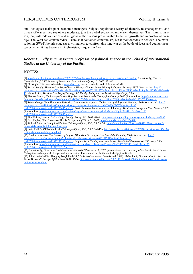and ideologues make poor economic managers. Subject populations weary of rhetoric, mismanagement, and threats of war as they see others moderate, join the global economy, and enrich themselves. The Islamist fashion, too, will fade as clerics and religious authoritarians prove unable to deliver growth and international prestige. The West can contain radical Islam as it contained communism, but it took decades to achieve. The maturation in GWoT rhetoric suggests a willingness to confront this long war as the battle of ideas and counterinsurgency which it has become in Afghanistan, Iraq, and Africa.

#### *Robert E. Kelly is an associate professor of political science in the School of International Studies at the University of the Pacific.*

#### **NOTES:**

[1] http://www.charlierose.com/shows/2007/10/05/1/an-hour-with-counterinsurgency-expert-david-kilcullen; Robert Kelly, "One Last Chance in Iraq," *OSU Journal of Politics and International Affairs*, 1/1, 2007: 135-46.

[2] Christopher Hitchens' editorials at www.slate.com have extensively handled the case of Ali.

[3] Russell Weigly, *The American Way of War: A History of United States Military Policy and Strategy*, 1977 (Amazon link: http://

www.amazon.com/American-Way-War-Military-Strategy/dp/025328029X/ref=pd\_bbs\_sr\_1?ie=UTF8&s=books&qid=1197326319&sr=8-1); Michael Lind, *The American Way of Strategy: US Foreign Policy and the American Way of Life*, 2006.

[4] Thomas Barnett, *The Pentagon's New Map: War and Peace in the Twenty-first Century*, 2005 (Amazon link: http://www.amazon.com/ Pentagons-New-Map-Twenty-first-Century/dp/B000BPG24M/ref=pd\_bbs\_sr\_1?ie=UTF8&s=books&qid=1197326986&sr=1-1.

[5] Robert Granger Keir Thompson, *Defeating Communist Insurgency: The Lessons of Malaya and Vietnam*, 1966 (Amazon link: http:// www.amazon.com/Defeating-Communist-insurgency-international-security/dp/B0006BNX5M/ref=sr\_1\_3?

ie=UTF8&s=books&qid=1197325649&sr=1-3); David Petraeus, James Amos, and John Nagl, *The Counterinsurgency Field Manual*, 2007 (Amazon link: http://www.amazon.com/Marine-Corps-Counterinsurgency-Field-Manual/dp/0226841510/ref=sr\_1\_1? ie=UTF8&s=books&qid=1197325809&sr=1-1).

[6] Tim Weiner, "How to Make a Spy," *Foreign Policy*, 162, 2007: 44-48, http://www.foreignpolicy.com/story/cms.php?story\_id=3935.

[7] Fred Kaplan, "The Discussion That Isn't Happening," Sept. 21, 2007, http://www.slate.com/id/2174398/.

[8] Richard Betts, "A Disciplined Defense," *Foreign Affairs*, 86/6, 2007: 67-80, http://www.foreignaffairs.org/20071101faessay86605/ richard-k-betts/a-disciplined-defense.html.

[9] Colin Kahl, "COIN of the Realm," *Foreign Affairs*, 86/6, 2007: 169-176, http://www.foreignaffairs.org/20071101fareviewessay86612a/ colin-h-kahl/coin-of-the-realm.html.

[10] Chalmers Johnson, *The Sorrows of Empire: Militarism, Secrecy, and the End of the Republic*, 2004 (Amazon link: http:// www.amazon.com/Sorrows-Empire-Militarism-Republic-American/dp/0805077979/ref=pd\_bbs\_sr\_1?

ie=UTF8&s=books&qid=1197327216&sr=1-1); Stephen Walt, *Taming American Power: The Global Response to US Primacy*, 2006 (Amazon link: http://www.amazon.com/Taming-American-Power-Response-Primacy/dp/0393329194/ref=pd\_bbs\_sr\_1?  $ie=UTF8&s=books&qid=1197326821&sr=1-1).$ 

[11] Robert Kelly, "American Dual Containment in Asia," December 12, 2007, presentation at the University of the Pacific Social Science Colloquium and unpublished paper under peer review. Please email me for the draft: rkelly@pacific.edu.

[12] John Lewis Gaddis, "Hanging Tough Paid Off," *Bulletin of the Atomic Scientists* 45, 1989): 11-14; Philip Gordon, "Can the War on Terror Be Won?" *Foreign Affairs*, 86/6, 2007: 53-66, http://www.foreignaffairs.org/20071101faessay86604/philip-h-gordon/can-the-waron-terror-be-won.html.